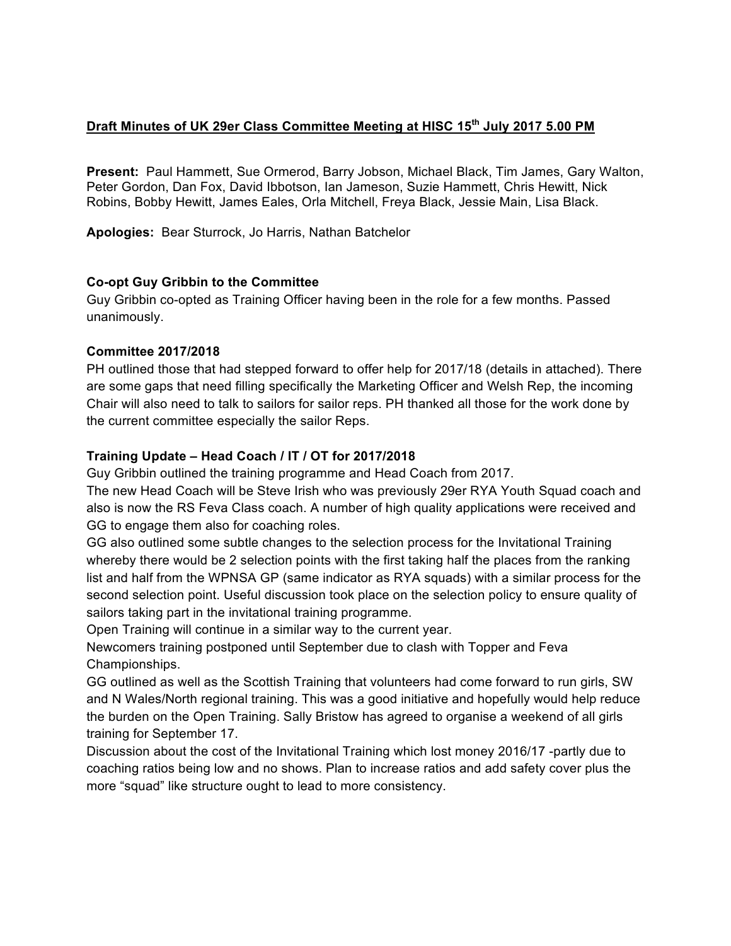### **Draft Minutes of UK 29er Class Committee Meeting at HISC 15th July 2017 5.00 PM**

**Present:** Paul Hammett, Sue Ormerod, Barry Jobson, Michael Black, Tim James, Gary Walton, Peter Gordon, Dan Fox, David Ibbotson, Ian Jameson, Suzie Hammett, Chris Hewitt, Nick Robins, Bobby Hewitt, James Eales, Orla Mitchell, Freya Black, Jessie Main, Lisa Black.

**Apologies:** Bear Sturrock, Jo Harris, Nathan Batchelor

### **Co-opt Guy Gribbin to the Committee**

Guy Gribbin co-opted as Training Officer having been in the role for a few months. Passed unanimously.

#### **Committee 2017/2018**

PH outlined those that had stepped forward to offer help for 2017/18 (details in attached). There are some gaps that need filling specifically the Marketing Officer and Welsh Rep, the incoming Chair will also need to talk to sailors for sailor reps. PH thanked all those for the work done by the current committee especially the sailor Reps.

### **Training Update – Head Coach / IT / OT for 2017/2018**

Guy Gribbin outlined the training programme and Head Coach from 2017.

The new Head Coach will be Steve Irish who was previously 29er RYA Youth Squad coach and also is now the RS Feva Class coach. A number of high quality applications were received and GG to engage them also for coaching roles.

GG also outlined some subtle changes to the selection process for the Invitational Training whereby there would be 2 selection points with the first taking half the places from the ranking list and half from the WPNSA GP (same indicator as RYA squads) with a similar process for the second selection point. Useful discussion took place on the selection policy to ensure quality of sailors taking part in the invitational training programme.

Open Training will continue in a similar way to the current year.

Newcomers training postponed until September due to clash with Topper and Feva Championships.

GG outlined as well as the Scottish Training that volunteers had come forward to run girls, SW and N Wales/North regional training. This was a good initiative and hopefully would help reduce the burden on the Open Training. Sally Bristow has agreed to organise a weekend of all girls training for September 17.

Discussion about the cost of the Invitational Training which lost money 2016/17 -partly due to coaching ratios being low and no shows. Plan to increase ratios and add safety cover plus the more "squad" like structure ought to lead to more consistency.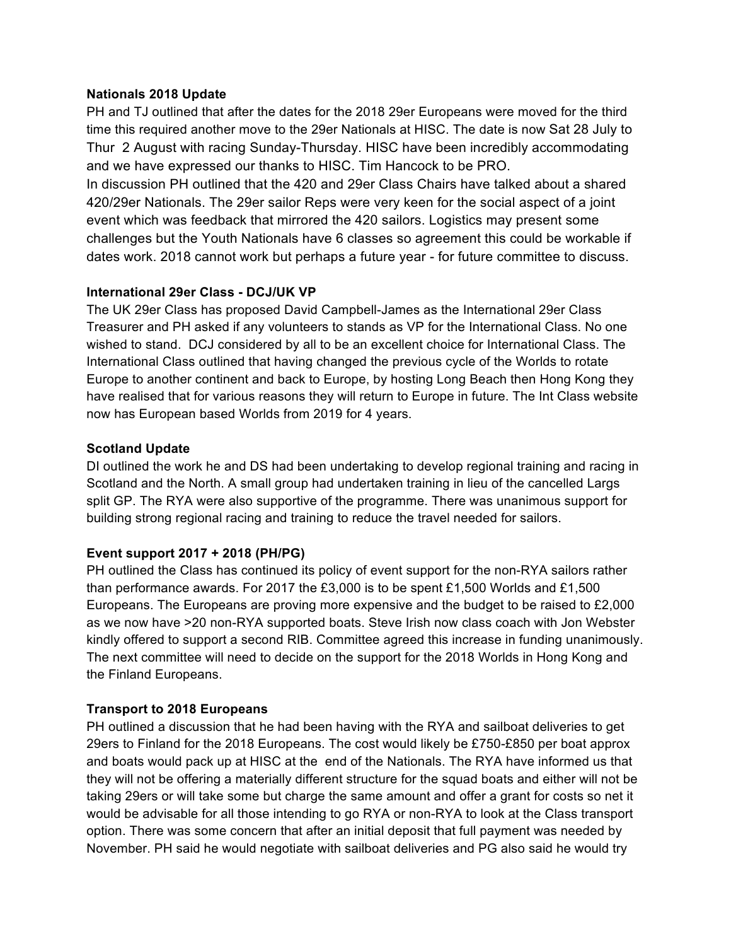#### **Nationals 2018 Update**

PH and TJ outlined that after the dates for the 2018 29er Europeans were moved for the third time this required another move to the 29er Nationals at HISC. The date is now Sat 28 July to Thur 2 August with racing Sunday-Thursday. HISC have been incredibly accommodating and we have expressed our thanks to HISC. Tim Hancock to be PRO.

In discussion PH outlined that the 420 and 29er Class Chairs have talked about a shared 420/29er Nationals. The 29er sailor Reps were very keen for the social aspect of a joint event which was feedback that mirrored the 420 sailors. Logistics may present some challenges but the Youth Nationals have 6 classes so agreement this could be workable if dates work. 2018 cannot work but perhaps a future year - for future committee to discuss.

### **International 29er Class - DCJ/UK VP**

The UK 29er Class has proposed David Campbell-James as the International 29er Class Treasurer and PH asked if any volunteers to stands as VP for the International Class. No one wished to stand. DCJ considered by all to be an excellent choice for International Class. The International Class outlined that having changed the previous cycle of the Worlds to rotate Europe to another continent and back to Europe, by hosting Long Beach then Hong Kong they have realised that for various reasons they will return to Europe in future. The Int Class website now has European based Worlds from 2019 for 4 years.

#### **Scotland Update**

DI outlined the work he and DS had been undertaking to develop regional training and racing in Scotland and the North. A small group had undertaken training in lieu of the cancelled Largs split GP. The RYA were also supportive of the programme. There was unanimous support for building strong regional racing and training to reduce the travel needed for sailors.

### **Event support 2017 + 2018 (PH/PG)**

PH outlined the Class has continued its policy of event support for the non-RYA sailors rather than performance awards. For 2017 the £3,000 is to be spent £1,500 Worlds and £1,500 Europeans. The Europeans are proving more expensive and the budget to be raised to £2,000 as we now have >20 non-RYA supported boats. Steve Irish now class coach with Jon Webster kindly offered to support a second RIB. Committee agreed this increase in funding unanimously. The next committee will need to decide on the support for the 2018 Worlds in Hong Kong and the Finland Europeans.

#### **Transport to 2018 Europeans**

PH outlined a discussion that he had been having with the RYA and sailboat deliveries to get 29ers to Finland for the 2018 Europeans. The cost would likely be £750-£850 per boat approx and boats would pack up at HISC at the end of the Nationals. The RYA have informed us that they will not be offering a materially different structure for the squad boats and either will not be taking 29ers or will take some but charge the same amount and offer a grant for costs so net it would be advisable for all those intending to go RYA or non-RYA to look at the Class transport option. There was some concern that after an initial deposit that full payment was needed by November. PH said he would negotiate with sailboat deliveries and PG also said he would try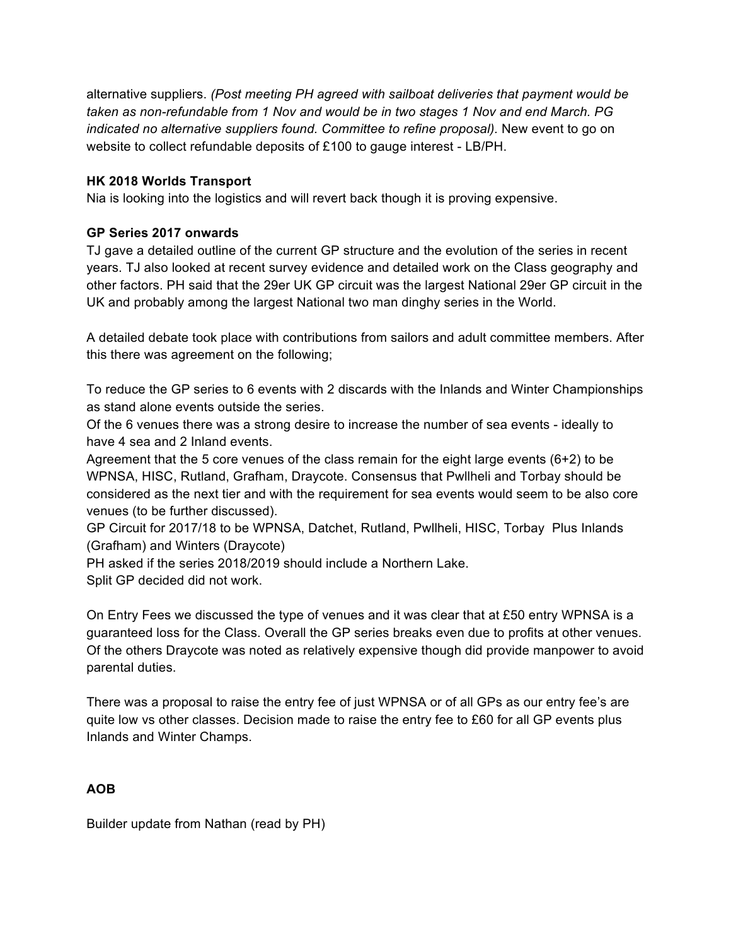alternative suppliers. *(Post meeting PH agreed with sailboat deliveries that payment would be taken as non-refundable from 1 Nov and would be in two stages 1 Nov and end March. PG indicated no alternative suppliers found. Committee to refine proposal).* New event to go on website to collect refundable deposits of £100 to gauge interest - LB/PH.

# **HK 2018 Worlds Transport**

Nia is looking into the logistics and will revert back though it is proving expensive.

# **GP Series 2017 onwards**

TJ gave a detailed outline of the current GP structure and the evolution of the series in recent years. TJ also looked at recent survey evidence and detailed work on the Class geography and other factors. PH said that the 29er UK GP circuit was the largest National 29er GP circuit in the UK and probably among the largest National two man dinghy series in the World.

A detailed debate took place with contributions from sailors and adult committee members. After this there was agreement on the following;

To reduce the GP series to 6 events with 2 discards with the Inlands and Winter Championships as stand alone events outside the series.

Of the 6 venues there was a strong desire to increase the number of sea events - ideally to have 4 sea and 2 Inland events.

Agreement that the 5 core venues of the class remain for the eight large events (6+2) to be WPNSA, HISC, Rutland, Grafham, Draycote. Consensus that Pwllheli and Torbay should be considered as the next tier and with the requirement for sea events would seem to be also core venues (to be further discussed).

GP Circuit for 2017/18 to be WPNSA, Datchet, Rutland, Pwllheli, HISC, Torbay Plus Inlands (Grafham) and Winters (Draycote)

PH asked if the series 2018/2019 should include a Northern Lake.

Split GP decided did not work.

On Entry Fees we discussed the type of venues and it was clear that at £50 entry WPNSA is a guaranteed loss for the Class. Overall the GP series breaks even due to profits at other venues. Of the others Draycote was noted as relatively expensive though did provide manpower to avoid parental duties.

There was a proposal to raise the entry fee of just WPNSA or of all GPs as our entry fee's are quite low vs other classes. Decision made to raise the entry fee to £60 for all GP events plus Inlands and Winter Champs.

# **AOB**

Builder update from Nathan (read by PH)